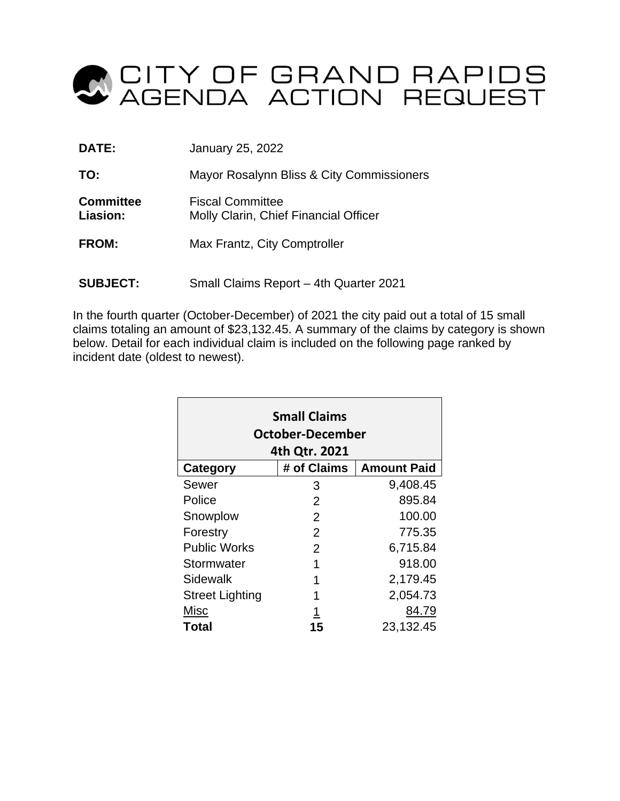

| DATE:                        | January 25, 2022                                                 |
|------------------------------|------------------------------------------------------------------|
| TO:                          | Mayor Rosalynn Bliss & City Commissioners                        |
| <b>Committee</b><br>Liasion: | <b>Fiscal Committee</b><br>Molly Clarin, Chief Financial Officer |
| <b>FROM:</b>                 | Max Frantz, City Comptroller                                     |
| <b>SUBJECT:</b>              | Small Claims Report - 4th Quarter 2021                           |

In the fourth quarter (October-December) of 2021 the city paid out a total of 15 small claims totaling an amount of \$23,132.45. A summary of the claims by category is shown below. Detail for each individual claim is included on the following page ranked by incident date (oldest to newest).

| <b>Small Claims</b><br>October-December<br>4th Qtr. 2021 |             |                    |  |  |  |  |  |  |  |  |  |
|----------------------------------------------------------|-------------|--------------------|--|--|--|--|--|--|--|--|--|
| Category                                                 | # of Claims | <b>Amount Paid</b> |  |  |  |  |  |  |  |  |  |
| Sewer                                                    | 3           | 9,408.45           |  |  |  |  |  |  |  |  |  |
| Police                                                   | 2           | 895.84             |  |  |  |  |  |  |  |  |  |
| Snowplow                                                 | 2           | 100.00             |  |  |  |  |  |  |  |  |  |
| Forestry                                                 | 2           | 775.35             |  |  |  |  |  |  |  |  |  |
| <b>Public Works</b>                                      | 2           | 6,715.84           |  |  |  |  |  |  |  |  |  |
| Stormwater                                               | 1           | 918.00             |  |  |  |  |  |  |  |  |  |
| Sidewalk                                                 |             | 2,179.45           |  |  |  |  |  |  |  |  |  |
| <b>Street Lighting</b>                                   | 1           | 2,054.73           |  |  |  |  |  |  |  |  |  |
| Misc                                                     | 1           | 84.79              |  |  |  |  |  |  |  |  |  |
| Total                                                    | 15          | 23,132.45          |  |  |  |  |  |  |  |  |  |